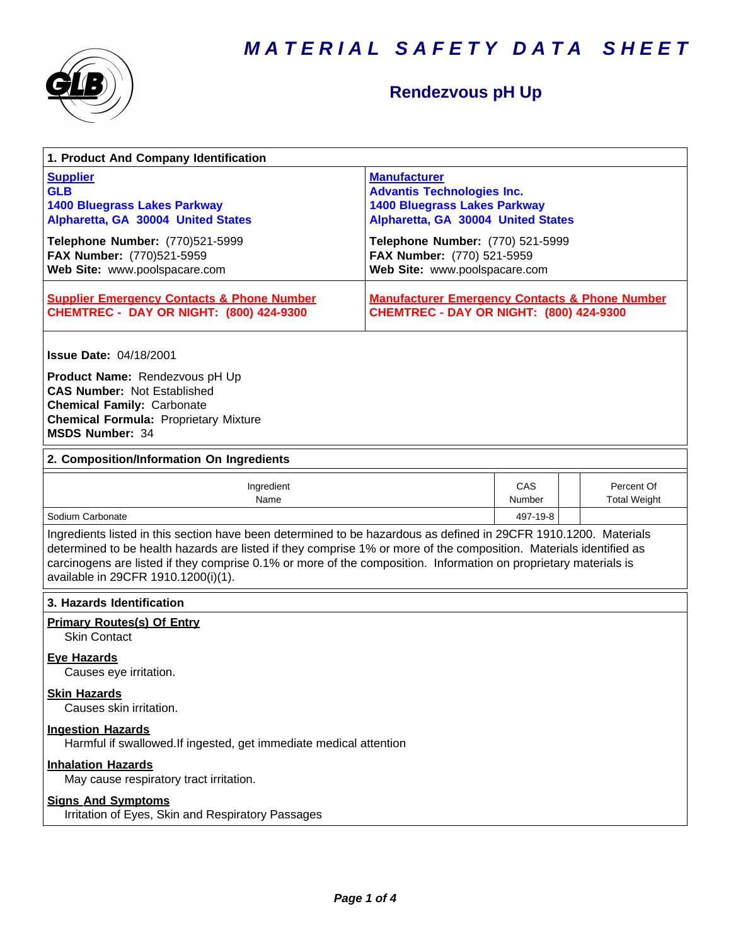



# **Rendezvous pH Up**

| 1. Product And Company Identification                                                                                                                                                                                                                                                                                                                                                             |                                                                                                                                       |                      |                                   |  |
|---------------------------------------------------------------------------------------------------------------------------------------------------------------------------------------------------------------------------------------------------------------------------------------------------------------------------------------------------------------------------------------------------|---------------------------------------------------------------------------------------------------------------------------------------|----------------------|-----------------------------------|--|
| <b>Supplier</b><br><b>GLB</b><br><b>1400 Bluegrass Lakes Parkway</b><br>Alpharetta, GA 30004 United States                                                                                                                                                                                                                                                                                        | <b>Manufacturer</b><br><b>Advantis Technologies Inc.</b><br><b>1400 Bluegrass Lakes Parkway</b><br>Alpharetta, GA 30004 United States |                      |                                   |  |
| Telephone Number: (770)521-5999<br>FAX Number: (770)521-5959<br>Web Site: www.poolspacare.com                                                                                                                                                                                                                                                                                                     | Telephone Number: (770) 521-5999<br>FAX Number: (770) 521-5959<br>Web Site: www.poolspacare.com                                       |                      |                                   |  |
| <b>Supplier Emergency Contacts &amp; Phone Number</b><br><b>CHEMTREC - DAY OR NIGHT: (800) 424-9300</b>                                                                                                                                                                                                                                                                                           | <b>Manufacturer Emergency Contacts &amp; Phone Number</b><br><b>CHEMTREC - DAY OR NIGHT: (800) 424-9300</b>                           |                      |                                   |  |
| <b>Issue Date: 04/18/2001</b><br>Product Name: Rendezvous pH Up<br><b>CAS Number: Not Established</b><br><b>Chemical Family: Carbonate</b><br><b>Chemical Formula: Proprietary Mixture</b>                                                                                                                                                                                                        |                                                                                                                                       |                      |                                   |  |
| <b>MSDS Number: 34</b>                                                                                                                                                                                                                                                                                                                                                                            |                                                                                                                                       |                      |                                   |  |
| 2. Composition/Information On Ingredients                                                                                                                                                                                                                                                                                                                                                         |                                                                                                                                       |                      |                                   |  |
| Ingredient<br>Name                                                                                                                                                                                                                                                                                                                                                                                |                                                                                                                                       | CAS<br><b>Number</b> | Percent Of<br><b>Total Weight</b> |  |
| Sodium Carbonate                                                                                                                                                                                                                                                                                                                                                                                  | 497-19-8                                                                                                                              |                      |                                   |  |
| Ingredients listed in this section have been determined to be hazardous as defined in 29CFR 1910.1200. Materials<br>determined to be health hazards are listed if they comprise 1% or more of the composition. Materials identified as<br>carcinogens are listed if they comprise 0.1% or more of the composition. Information on proprietary materials is<br>available in 29CFR 1910.1200(i)(1). |                                                                                                                                       |                      |                                   |  |
| 3. Hazards Identification                                                                                                                                                                                                                                                                                                                                                                         |                                                                                                                                       |                      |                                   |  |
| <b>Primary Routes(s) Of Entry</b><br><b>Skin Contact</b>                                                                                                                                                                                                                                                                                                                                          |                                                                                                                                       |                      |                                   |  |
| <b>Eve Hazards</b><br>Causes eye irritation.                                                                                                                                                                                                                                                                                                                                                      |                                                                                                                                       |                      |                                   |  |
| <b>Skin Hazards</b><br>Causes skin irritation.                                                                                                                                                                                                                                                                                                                                                    |                                                                                                                                       |                      |                                   |  |
| <b>Ingestion Hazards</b><br>Harmful if swallowed. If ingested, get immediate medical attention                                                                                                                                                                                                                                                                                                    |                                                                                                                                       |                      |                                   |  |
| <b>Inhalation Hazards</b><br>May cause respiratory tract irritation.                                                                                                                                                                                                                                                                                                                              |                                                                                                                                       |                      |                                   |  |
| <b>Signs And Symptoms</b><br>Irritation of Eyes, Skin and Respiratory Passages                                                                                                                                                                                                                                                                                                                    |                                                                                                                                       |                      |                                   |  |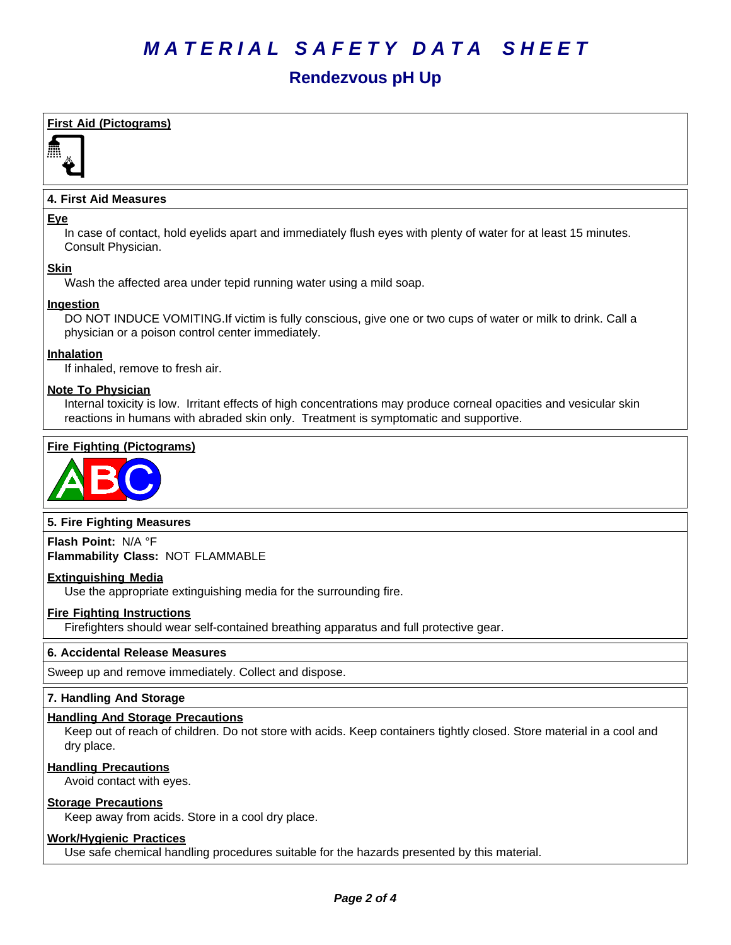# *MATERIAL SAFETY DATA SHEET*

# **Rendezvous pH Up**

# **First Aid (Pictograms)**



# **4. First Aid Measures**

#### **Eye**

In case of contact, hold eyelids apart and immediately flush eyes with plenty of water for at least 15 minutes. Consult Physician.

# **Skin**

Wash the affected area under tepid running water using a mild soap.

# **Ingestion**

DO NOT INDUCE VOMITING.If victim is fully conscious, give one or two cups of water or milk to drink. Call a physician or a poison control center immediately.

#### **Inhalation**

If inhaled, remove to fresh air.

#### **Note To Physician**

Internal toxicity is low. Irritant effects of high concentrations may produce corneal opacities and vesicular skin reactions in humans with abraded skin only. Treatment is symptomatic and supportive.

# **Fire Fighting (Pictograms)**



# **5. Fire Fighting Measures**

**Flash Point:** N/A°F **Flammability Class:** NOT FLAMMABLE

#### **Extinguishing Media**

Use the appropriate extinguishing media for the surrounding fire.

#### **Fire Fighting Instructions**

Firefighters should wear self-contained breathing apparatus and full protective gear.

# **6.Accidental ReleaseMeasures**

Sweep up and remove immediately. Collect and dispose.

#### **7. Handling And Storage**

#### **Handling And Storage Precautions**

Keep out of reach of children. Do not store with acids. Keep containers tightly closed. Store material in a cool and dry place.

#### **Handling Precautions**

Avoid contact with eyes.

#### **Storage Precautions**

Keep away from acids. Store in a cool dry place.

#### **Work/Hygienic Practices**

Use safe chemical handling procedures suitable for the hazards presented by this material.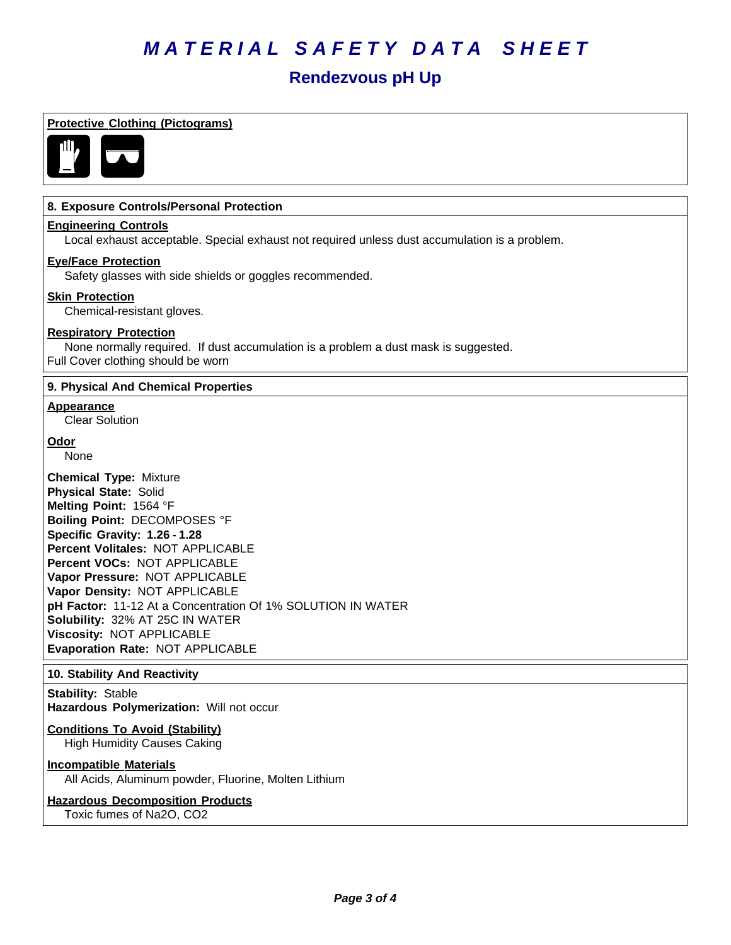# *MATERIAL SAFETY DATA SHEET*

# **Rendezvous pH Up**

# **Protective Clothing (Pictograms)**



### **8. Exposure Controls/Personal Protection**

#### **Engineering Controls**

Local exhaust acceptable. Special exhaust not required unless dust accumulation is a problem.

# **Eye/Face Protection**

Safety glasses with side shields or goggles recommended.

#### **Skin Protection**

Chemical-resistant gloves.

#### **Respiratory Protection**

None normally required. If dust accumulation is a problem a dust mask is suggested. Full Cover clothing should be worn

#### **9. Physical And Chemical Properties**

#### **Appearance**

Clear Solution

# **Odor**

None

**Chemical Type:** Mixture **Physical State:** Solid **Melting Point:** 1564°F **Boiling Point:** DECOMPOSES °F **Specific Gravity: 1.26 - 1.28 Percent Volitales:** NOT APPLICABLE **Percent VOCs:** NOT APPLICABLE **Vapor Pressure:** NOT APPLICABLE **Vapor Density:** NOT APPLICABLE pH Factor: 11-12 At a Concentration Of 1% SOLUTION IN WATER **Solubility: 32% AT 25C IN WATER Viscosity: NOT APPLICABLE Evaporation Rate:** NOT APPLICABLE

#### **10. Stability And Reactivity**

**Stability: Stable** Hazardous Polymerization: Will not occur

# **Conditions To Avoid (Stability)**

High Humidity Causes Caking

# **Incompatible Materials**

All Acids, Aluminum powder, Fluorine, Molten Lithium

#### **Hazardous Decomposition Products** Toxic fumes of Na2O, CO2